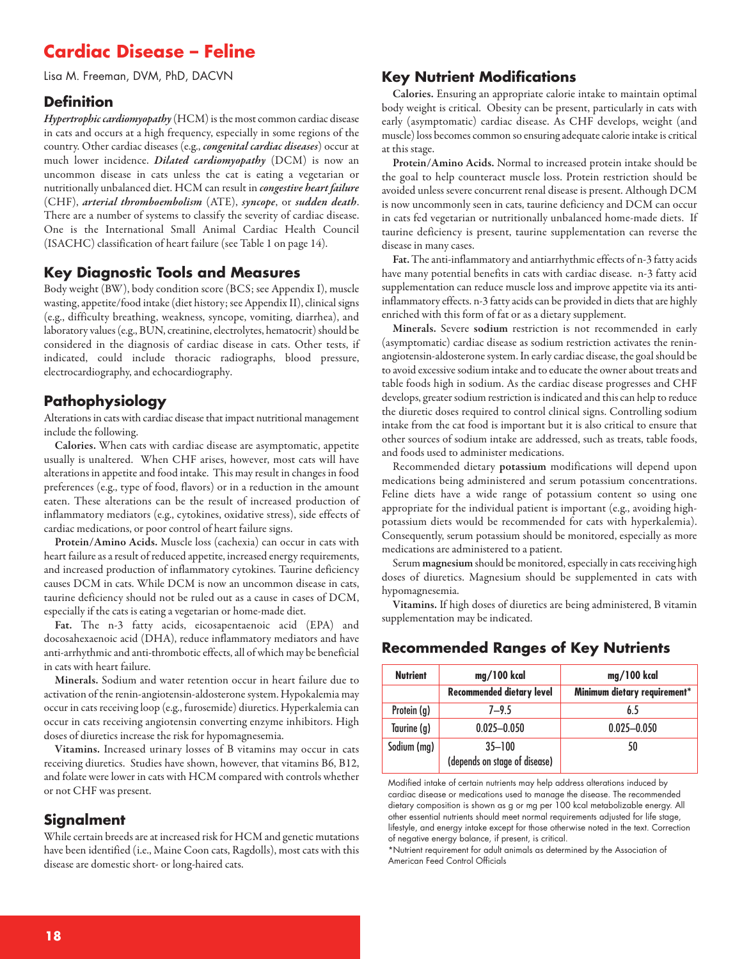# **Cardiac Disease – Feline**

Lisa M. Freeman, DVM, PhD, DACVN

#### **Definition**

*Hypertrophic cardiomyopathy* (HCM) is the most common cardiac disease in cats and occurs at a high frequency, especially in some regions of the country. Other cardiac diseases (e.g., *congenital cardiac diseases*) occur at much lower incidence. *Dilated cardiomyopathy* (DCM) is now an uncommon disease in cats unless the cat is eating a vegetarian or nutritionally unbalanced diet. HCM can result in *congestive heart failure* (CHF), *arterial thromboembolism* (ATE), *syncope*, or *sudden death*. There are a number of systems to classify the severity of cardiac disease. One is the International Small Animal Cardiac Health Council (ISACHC) classification of heart failure (see Table 1 on page 14).

#### **Key Diagnostic Tools and Measures**

Body weight (BW), body condition score (BCS; see Appendix I), muscle wasting, appetite/food intake (diet history; see Appendix II), clinical signs (e.g., difficulty breathing, weakness, syncope, vomiting, diarrhea), and laboratory values (e.g., BUN, creatinine, electrolytes, hematocrit) should be considered in the diagnosis of cardiac disease in cats. Other tests, if indicated, could include thoracic radiographs, blood pressure, electrocardiography, and echocardiography.

#### **Pathophysiology**

Alterations in cats with cardiac disease that impact nutritional management include the following.

**Calories.** When cats with cardiac disease are asymptomatic, appetite usually is unaltered. When CHF arises, however, most cats will have alterations in appetite and food intake. This may result in changes in food preferences (e.g., type of food, flavors) or in a reduction in the amount eaten. These alterations can be the result of increased production of inflammatory mediators (e.g., cytokines, oxidative stress), side effects of cardiac medications, or poor control of heart failure signs.

**Protein/Amino Acids.** Muscle loss (cachexia) can occur in cats with heart failure as a result of reduced appetite, increased energy requirements, and increased production of inflammatory cytokines. Taurine deficiency causes DCM in cats. While DCM is now an uncommon disease in cats, taurine deficiency should not be ruled out as a cause in cases of DCM, especially if the cats is eating a vegetarian or home-made diet.

**Fat.** The n-3 fatty acids, eicosapentaenoic acid (EPA) and docosahexaenoic acid (DHA), reduce inflammatory mediators and have anti-arrhythmicand anti-thromboticeffects,all of which may be beneficial in cats with heart failure.

**Minerals.** Sodium and water retention occur in heart failure due to activation of the renin-angiotensin-aldosterone system. Hypokalemia may occur in cats receiving loop (e.g., furosemide) diuretics. Hyperkalemiacan occur in cats receiving angiotensin converting enzyme inhibitors. High doses of diuretics increase the risk for hypomagnesemia.

**Vitamins.** Increased urinary losses of B vitamins may occur in cats receiving diuretics. Studies have shown, however, that vitamins B6, B12, and folate were lower in cats with HCM compared with controls whether or not CHF was present.

#### **Signalment**

While certain breeds are at increased risk for HCM and genetic mutations have been identified (i.e., Maine Coon cats, Ragdolls), most cats with this disease are domestic short- or long-haired cats.

#### **Key Nutrient Modifications**

**Calories.** Ensuring an appropriate calorie intake to maintain optimal body weight is critical. Obesity can be present, particularly in cats with early (asymptomatic) cardiac disease. As CHF develops, weight (and muscle) loss becomes common so ensuring adequate calorie intake is critical at this stage.

**Protein/Amino Acids.** Normal to increased protein intake should be the goal to help counteract muscle loss. Protein restriction should be avoided unless severe concurrent renal disease is present. Although DCM is now uncommonly seen in cats, taurine deficiency and DCM can occur in cats fed vegetarian or nutritionally unbalanced home-made diets. If taurine deficiency is present, taurine supplementation can reverse the disease in many cases.

Fat. The anti-inflammatory and antiarrhythmic effects of n-3 fatty acids have many potential benefits in cats with cardiac disease. n-3 fatty acid supplementation can reduce muscle loss and improve appetite via its antiinflammatory effects. n-3 fatty acids can be provided in diets that are highly enriched with this form of fat or as a dietary supplement.

**Minerals.** Severe **sodium** restriction is not recommended in early (asymptomatic) cardiac disease as sodium restriction activates the reninangiotensin-aldosterone system. In early cardiac disease, the goal should be to avoid excessive sodium intake and to educate the owner about treats and table foods high in sodium. As the cardiac disease progresses and CHF develops, greater sodium restriction is indicated and this can help to reduce the diuretic doses required to control clinical signs. Controlling sodium intake from the cat food is important but it is also critical to ensure that other sources of sodium intake are addressed, such as treats, table foods, and foods used to administer medications.

Recommended dietary **potassium** modifications will depend upon medications being administered and serum potassium concentrations. Feline diets have a wide range of potassium content so using one appropriate for the individual patient is important (e.g., avoiding highpotassium diets would be recommended for cats with hyperkalemia). Consequently, serum potassium should be monitored, especially as more medications are administered to a patient.

Serum magnesium should be monitored, especially in cats receiving high doses of diuretics. Magnesium should be supplemented in cats with hypomagnesemia.

**Vitamins.** If high doses of diuretics are being administered, B vitamin supplementation may be indicated.

#### **Recommended Ranges of Key Nutrients**

| <b>Nutrient</b> | mg/100 kcal                                 | mg/100 kcal                  |
|-----------------|---------------------------------------------|------------------------------|
|                 | <b>Recommended dietary level</b>            | Minimum dietary requirement* |
| Protein (g)     | $7 - 9.5$                                   | 65                           |
| Taurine (g)     | $0.025 - 0.050$                             | $0.025 - 0.050$              |
| Sodium (mg)     | $35 - 100$<br>(depends on stage of disease) | 50                           |

Modified intake of certain nutrients may help address alterations induced by cardiac disease or medications used to manage the disease. The recommended dietary composition is shown as g or mg per 100 kcal metabolizable energy. All other essential nutrients should meet normal requirements adjusted for life stage, lifestyle, and energy intake except for those otherwise noted in the text. Correction of negative energy balance, if present, is critical.

\*Nutrient requirement for adult animals as determined by the Association of American Feed Control Officials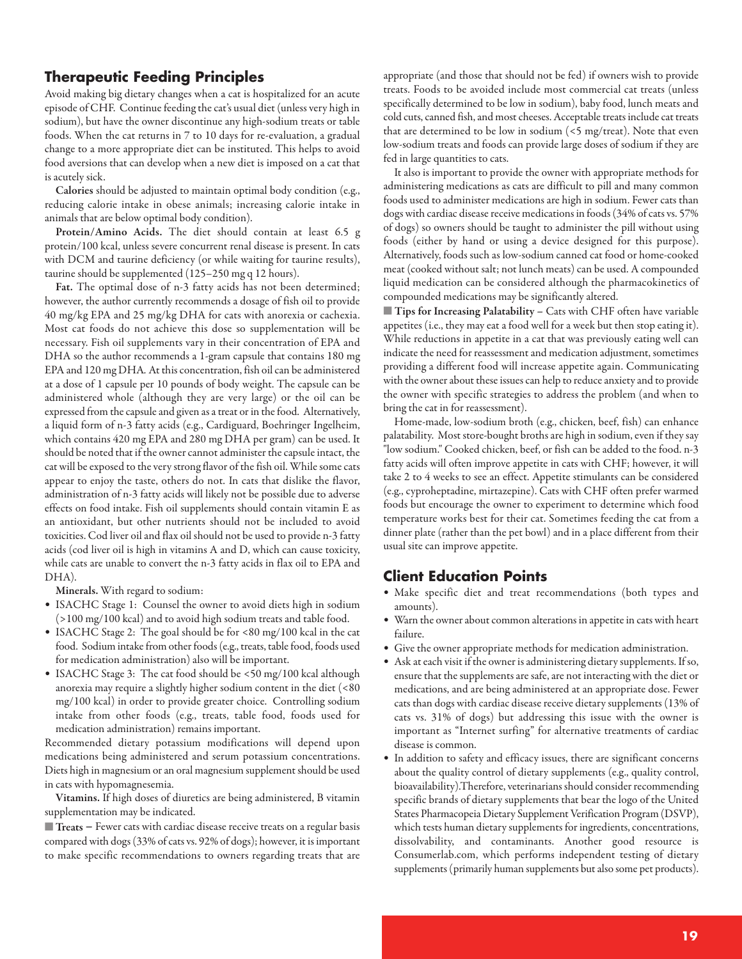#### **Therapeutic Feeding Principles**

Avoid making big dietary changes when a cat is hospitalized for an acute episode of CHF. Continue feeding the cat's usual diet (unless very high in sodium), but have the owner discontinue any high-sodium treats or table foods. When the cat returns in 7 to 10 days for re-evaluation, a gradual change to a more appropriate diet can be instituted. This helps to avoid food aversions that can develop when a new diet is imposed on a cat that is acutely sick.

**Calories** should be adjusted to maintain optimal body condition (e.g., reducing calorie intake in obese animals; increasing calorie intake in animals that are below optimal body condition).

**Protein/Amino Acids.** The diet should contain at least 6.5 g protein/100 kcal, unless severe concurrent renal disease is present. In cats with DCM and taurine deficiency (or while waiting for taurine results), taurine should be supplemented (125–250 mg q 12 hours).

**Fat.** The optimal dose of n-3 fatty acids has not been determined; however, the author currently recommends a dosage of fish oil to provide 40 mg/kg EPA and 25 mg/kg DHA for cats with anorexia or cachexia. Most cat foods do not achieve this dose so supplementation will be necessary. Fish oil supplements vary in their concentration of EPA and DHA so the author recommends a 1-gram capsule that contains 180 mg EPA and 120 mg DHA. At this concentration, fish oil can be administered at a dose of 1 capsule per 10 pounds of body weight. The capsule can be administered whole (although they are very large) or the oil can be expressed from the capsule and given as a treat or in the food. Alternatively, a liquid form of n-3 fatty acids (e.g., Cardiguard, Boehringer Ingelheim, which contains 420 mg EPA and 280 mg DHA per gram) can be used. It should be noted that if the owner cannot administer the capsule intact, the cat will be exposed to the very strong flavor of the fish oil. While some cats appear to enjoy the taste, others do not. In cats that dislike the flavor, administration of n-3 fatty acids will likely not be possible due to adverse effects on food intake. Fish oil supplements should contain vitamin E as an antioxidant, but other nutrients should not be included to avoid toxicities. Cod liver oil and flax oil should not be used to provide n-3 fatty acids (cod liver oil is high in vitamins A and D, which can cause toxicity, while cats are unable to convert the n-3 fatty acids in flax oil to EPA and DHA).

**Minerals.** With regard to sodium:

- ISACHC Stage 1: Counsel the owner to avoid diets high in sodium (>100 mg/100 kcal) and to avoid high sodium treats and table food.
- ISACHC Stage 2: The goal should be for <80 mg/100 kcal in the cat food. Sodium intake from other foods (e.g., treats, table food, foods used for medication administration) also will be important.
- ISACHC Stage 3: The cat food should be <50 mg/100 kcal although anorexia may require a slightly higher sodium content in the diet (<80 mg/100 kcal) in order to provide greater choice. Controlling sodium intake from other foods (e.g., treats, table food, foods used for medication administration) remains important.

Recommended dietary potassium modifications will depend upon medications being administered and serum potassium concentrations. Diets high in magnesium or an oral magnesium supplement should be used in cats with hypomagnesemia.

**Vitamins.** If high doses of diuretics are being administered, B vitamin supplementation may be indicated.

**Treats** – Fewer cats with cardiac disease receive treats on a regular basis compared with dogs (33% of cats vs. 92% of dogs); however, it is important to make specific recommendations to owners regarding treats that are

appropriate (and those that should not be fed) if owners wish to provide treats. Foods to be avoided include most commercial cat treats (unless specifically determined to be low in sodium), baby food, lunch meats and cold cuts, canned fish, and most cheeses. Acceptable treats include cat treats that are determined to be low in sodium (<5 mg/treat). Note that even low-sodium treats and foods can provide large doses of sodium if they are fed in large quantities to cats.

It also is important to provide the owner with appropriate methods for administering medications as cats are difficult to pill and many common foods used to administer medications are high in sodium. Fewer cats than dogs with cardiac disease receive medications in foods (34% of cats vs. 57% of dogs) so owners should be taught to administer the pill without using foods (either by hand or using a device designed for this purpose). Alternatively, foods such as low-sodium canned cat food or home-cooked meat (cooked without salt; not lunch meats) can be used. A compounded liquid medication can be considered although the pharmacokinetics of compounded medications may be significantly altered.

■ **Tips for Increasing Palatability –** Cats with CHF often have variable appetites (i.e., they may eat a food well for a week but then stop eating it). While reductions in appetite in a cat that was previously eating well can indicate the need for reassessment and medication adjustment, sometimes providing a different food will increase appetite again. Communicating with the owner about these issues can help to reduce anxiety and to provide the owner with specific strategies to address the problem (and when to bring the cat in for reassessment).

Home-made, low-sodium broth (e.g., chicken, beef, fish) can enhance palatability. Most store-bought broths are high in sodium, even if they say "low sodium." Cooked chicken, beef, or fish can be added to the food. n-3 fatty acids will often improve appetite in cats with CHF; however, it will take 2 to 4 weeks to see an effect. Appetite stimulants can be considered (e.g., cyproheptadine, mirtazepine). Cats with CHF often prefer warmed foods but encourage the owner to experiment to determine which food temperature works best for their cat. Sometimes feeding the cat from a dinner plate (rather than the pet bowl) and in a place different from their usual site can improve appetite.

#### **Client Education Points**

- Make specific diet and treat recommendations (both types and amounts).
- Warn the owner about common alterations in appetite in cats with heart failure.
- Give the owner appropriate methods for medication administration.
- Ask at each visit if the owner is administering dietary supplements. If so, ensure that the supplements are safe, are not interacting with the diet or medications, and are being administered at an appropriate dose. Fewer cats than dogs with cardiac disease receive dietary supplements (13% of cats vs. 31% of dogs) but addressing this issue with the owner is important as "Internet surfing" for alternative treatments of cardiac disease is common.
- In addition to safety and efficacy issues, there are significant concerns about the quality control of dietary supplements (e.g., quality control, bioavailability).Therefore, veterinarians should consider recommending specific brands of dietary supplements that bear the logo of the United States Pharmacopeia Dietary Supplement Verification Program (DSVP), which tests human dietary supplements for ingredients, concentrations, dissolvability, and contaminants. Another good resource is Consumerlab.com, which performs independent testing of dietary supplements (primarily human supplements but also some pet products).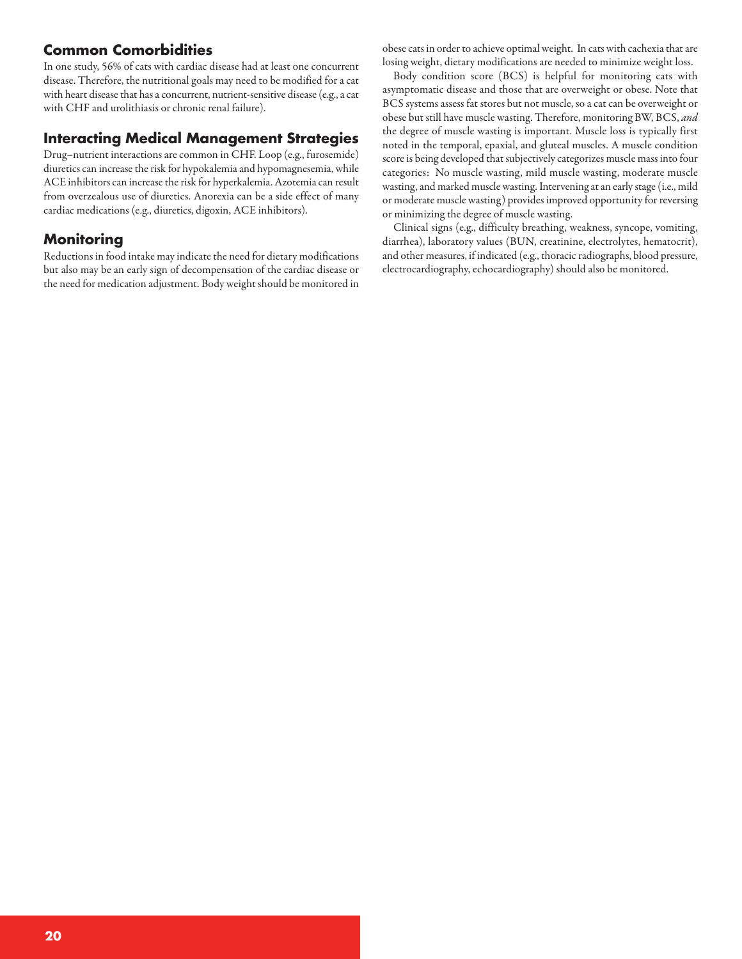## **Common Comorbidities**

In one study, 56% of cats with cardiac disease had at least one concurrent disease. Therefore, the nutritional goals may need to be modified for a cat with heart disease that has a concurrent, nutrient-sensitive disease (e.g., a cat with CHF and urolithiasis or chronic renal failure).

## **Interacting Medical Management Strategies**

Drug-nutrient interactions are common in CHF. Loop (e.g., furosemide) diuretics can increase the risk for hypokalemia and hypomagnesemia, while ACE inhibitors can increase the risk for hyperkalemia. Azotemia can result from overzealous use of diuretics. Anorexia can be a side effect of many cardiac medications (e.g., diuretics, digoxin, ACE inhibitors).

## **Monitoring**

Reductions in food intake may indicate the need for dietary modifications but also may be an early sign of decompensation of the cardiac disease or the need for medication adjustment. Body weight should be monitored in

obese cats in order to achieve optimal weight. In cats with cachexia that are losing weight, dietary modifications are needed to minimize weight loss.

Body condition score (BCS) is helpful for monitoring cats with asymptomatic disease and those that are overweight or obese. Note that BCS systems assess fat stores but not muscle, so a cat can be overweight or obese but still have muscle wasting. Therefore, monitoring BW, BCS, *and* the degree of muscle wasting is important. Muscle loss is typically first noted in the temporal, epaxial, and gluteal muscles. A muscle condition score is being developed that subjectively categorizes muscle mass into four categories: No muscle wasting, mild muscle wasting, moderate muscle wasting, and marked muscle wasting. Intervening at an early stage (i.e., mild or moderate muscle wasting) provides improved opportunity for reversing or minimizing the degree of muscle wasting.

Clinical signs (e.g., difficulty breathing, weakness, syncope, vomiting, diarrhea), laboratory values (BUN, creatinine, electrolytes, hematocrit), and other measures, if indicated (e.g., thoracic radiographs, blood pressure, electrocardiography, echocardiography) should also be monitored.